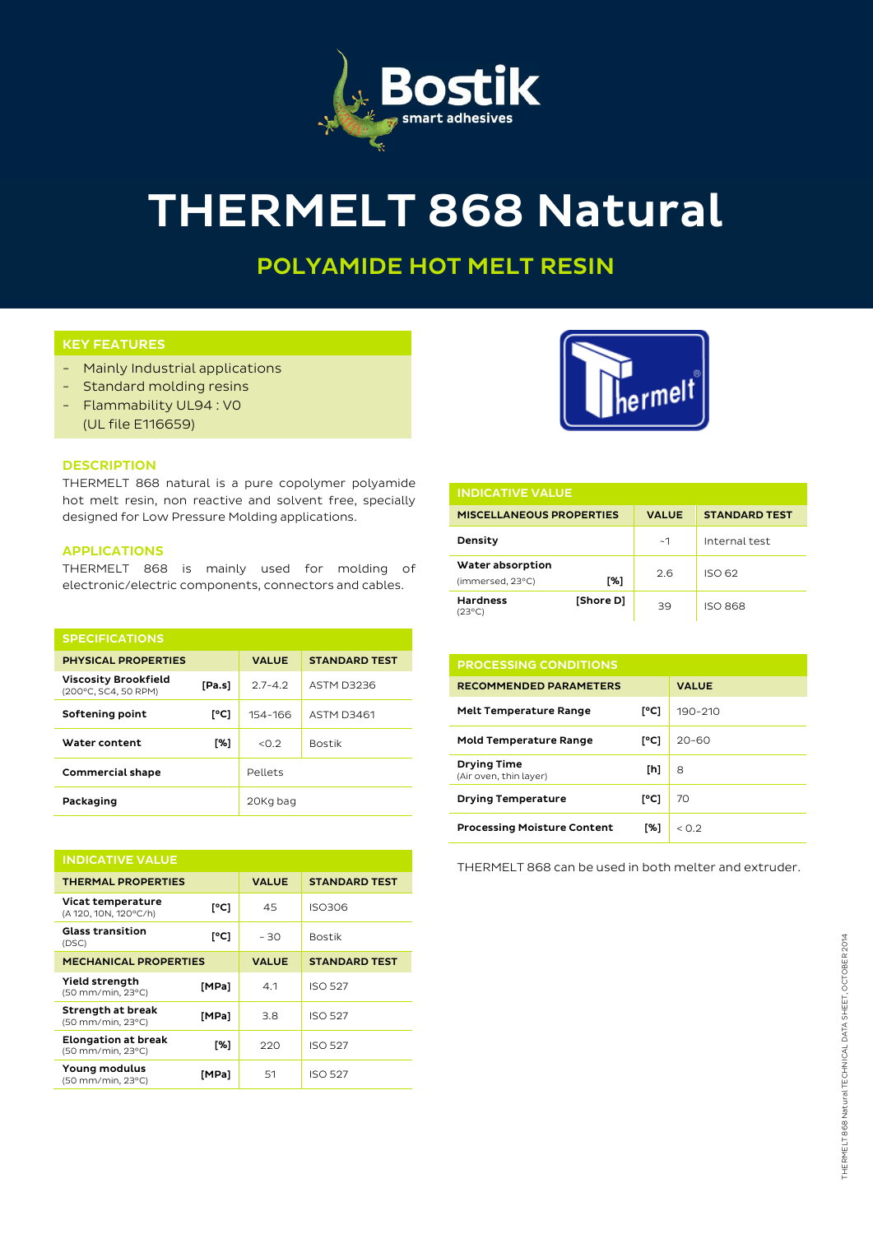

# THERMELT 868 Natural

## POLYAMIDE HOT MELT RESIN

### KEY FEATURES

- Mainly Industrial applications
- Standard molding resins
- Flammability UL94 : V0
	- (UL file E116659)

#### **DESCRIPTION**

THERMELT 868 natural is a pure copolymer polyamide hot melt resin, non reactive and solvent free, specially designed for Low Pressure Molding applications.

#### APPLICATIONS

THERMELT 868 is mainly used for molding of electronic/electric components, connectors and cables.

| <b>SPECIFICATIONS</b>                               |        |              |                      |  |  |
|-----------------------------------------------------|--------|--------------|----------------------|--|--|
| <b>PHYSICAL PROPERTIES</b>                          |        | <b>VALUE</b> | <b>STANDARD TEST</b> |  |  |
| <b>Viscosity Brookfield</b><br>(200°C, SC4, 50 RPM) | [Pa.s] | $2.7 - 4.2$  | ASTM D3236           |  |  |
| Softening point                                     | [°C]   | 154-166      | <b>ASTM D3461</b>    |  |  |
| Water content                                       | [%]    | < 0.2        | <b>Bostik</b>        |  |  |
| <b>Commercial shape</b>                             |        | Pellets      |                      |  |  |
| Packaging                                           |        | 20Kg bag     |                      |  |  |

| <b>INDICATIVE VALUE</b>                         |       |              |                      |  |  |
|-------------------------------------------------|-------|--------------|----------------------|--|--|
| <b>THERMAL PROPERTIES</b>                       |       | <b>VALUE</b> | <b>STANDARD TEST</b> |  |  |
| Vicat temperature<br>(A 120, 10N, 120°C/h)      | [°C]  | 45           | <b>ISO306</b>        |  |  |
| <b>Glass transition</b><br>(DSC)                | [°C]  | - 30         | <b>Bostik</b>        |  |  |
| <b>MECHANICAL PROPERTIES</b>                    |       | <b>VALUE</b> | <b>STANDARD TEST</b> |  |  |
| Yield strength<br>(50 mm/min, 23°C)             | [MPa] | 4.1          | <b>ISO 527</b>       |  |  |
| Strength at break<br>(50 mm/min, 23°C)          | [MPa] | 3.8          | <b>ISO 527</b>       |  |  |
| <b>Elongation at break</b><br>(50 mm/min, 23°C) | [%]   | 220          | <b>ISO 527</b>       |  |  |
| Young modulus<br>(50 mm/min, 23°C)              | [MPa] | 51           | <b>ISO 527</b>       |  |  |



| <b>INDICATIVE VALUE</b>              |           |              |                      |  |  |
|--------------------------------------|-----------|--------------|----------------------|--|--|
| <b>MISCELLANEOUS PROPERTIES</b>      |           | <b>VALUE</b> | <b>STANDARD TEST</b> |  |  |
| Density                              |           | ~1           | Internal test        |  |  |
| Water absorption<br>(immersed, 23°C) | [%]       | 2.6          | ISO 62               |  |  |
| <b>Hardness</b><br>$(23^{\circ}C)$   | [Shore D] | 39           | <b>ISO 868</b>       |  |  |

| <b>PROCESSING CONDITIONS</b>                 |      |              |
|----------------------------------------------|------|--------------|
| <b>RECOMMENDED PARAMETERS</b>                |      | <b>VALUE</b> |
| <b>Melt Temperature Range</b>                | [°C] | 190-210      |
| <b>Mold Temperature Range</b>                | [°C] | $20 - 60$    |
| <b>Drying Time</b><br>(Air oven, thin layer) | [h]  | 8            |
| <b>Drying Temperature</b>                    | [°C] | 70           |
| <b>Processing Moisture Content</b>           | [%]  | < 0.2        |

THERMELT 868 can be used in both melter and extruder.